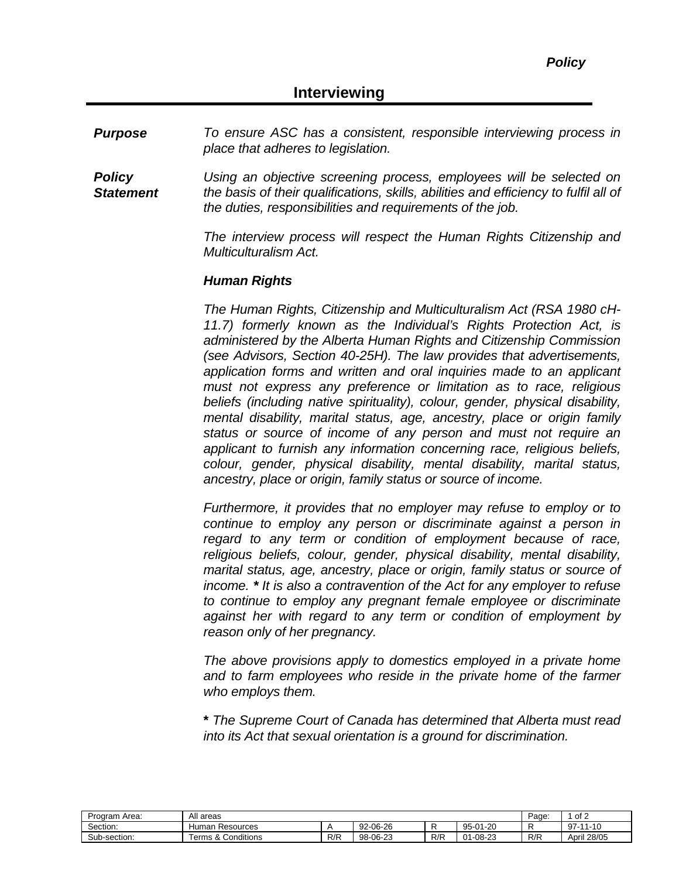*Purpose To ensure ASC has a consistent, responsible interviewing process in place that adheres to legislation.*

*Policy Statement Using an objective screening process, employees will be selected on the basis of their qualifications, skills, abilities and efficiency to fulfil all of the duties, responsibilities and requirements of the job.*

> *The interview process will respect the Human Rights Citizenship and Multiculturalism Act.*

#### *Human Rights*

*The Human Rights, Citizenship and Multiculturalism Act (RSA 1980 cH-11.7) formerly known as the Individual's Rights Protection Act, is administered by the Alberta Human Rights and Citizenship Commission (see Advisors, Section 40-25H). The law provides that advertisements, application forms and written and oral inquiries made to an applicant must not express any preference or limitation as to race, religious beliefs (including native spirituality), colour, gender, physical disability, mental disability, marital status, age, ancestry, place or origin family status or source of income of any person and must not require an applicant to furnish any information concerning race, religious beliefs, colour, gender, physical disability, mental disability, marital status, ancestry, place or origin, family status or source of income.*

*Furthermore, it provides that no employer may refuse to employ or to continue to employ any person or discriminate against a person in regard to any term or condition of employment because of race, religious beliefs, colour, gender, physical disability, mental disability, marital status, age, ancestry, place or origin, family status or source of income. \* It is also a contravention of the Act for any employer to refuse to continue to employ any pregnant female employee or discriminate against her with regard to any term or condition of employment by reason only of her pregnancy.*

*The above provisions apply to domestics employed in a private home and to farm employees who reside in the private home of the farmer who employs them.*

**\*** *The Supreme Court of Canada has determined that Alberta must read into its Act that sexual orientation is a ground for discrimination.*

| Program Area: | All areas             | Page: | of 2     |     |                    |     |                  |
|---------------|-----------------------|-------|----------|-----|--------------------|-----|------------------|
| Section:      | Resources<br>Human    |       | 92-06-26 |     | 01-20<br>$95 - 01$ |     | 1-10<br>Q7.<br>ັ |
| Sub-section:  | Conditions<br>Terms & | R/R   | 98-06-23 | R/R | -08-23<br>$01 -$   | R/R | 28/05<br>April   |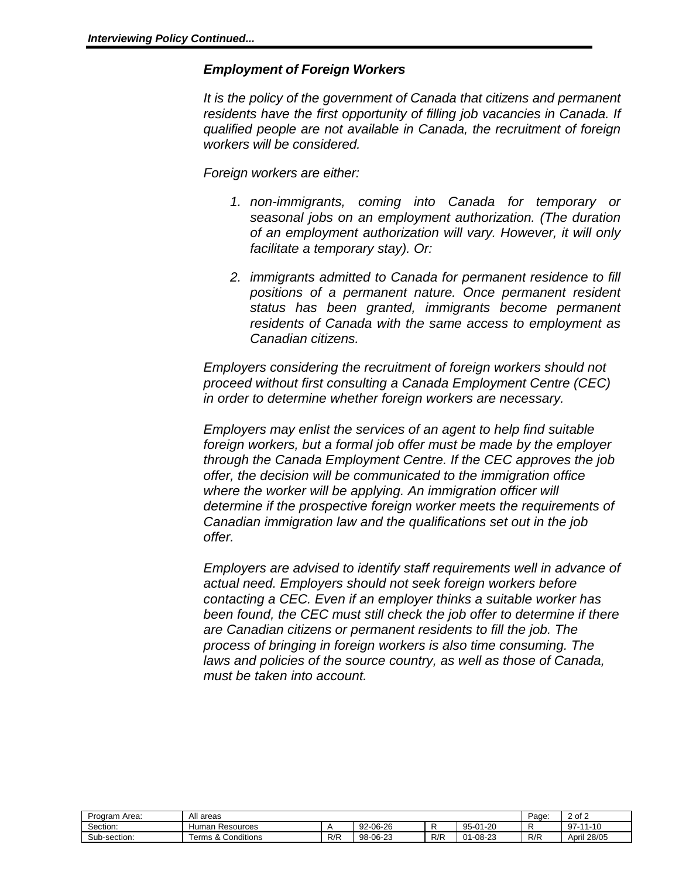#### *Employment of Foreign Workers*

*It is the policy of the government of Canada that citizens and permanent*  residents have the first opportunity of filling job vacancies in Canada. If *qualified people are not available in Canada, the recruitment of foreign workers will be considered.* 

*Foreign workers are either:*

- *1. non-immigrants, coming into Canada for temporary or seasonal jobs on an employment authorization. (The duration of an employment authorization will vary. However, it will only facilitate a temporary stay). Or:*
- *2. immigrants admitted to Canada for permanent residence to fill positions of a permanent nature. Once permanent resident status has been granted, immigrants become permanent residents of Canada with the same access to employment as Canadian citizens.*

*Employers considering the recruitment of foreign workers should not proceed without first consulting a Canada Employment Centre (CEC) in order to determine whether foreign workers are necessary.*

*Employers may enlist the services of an agent to help find suitable foreign workers, but a formal job offer must be made by the employer through the Canada Employment Centre. If the CEC approves the job offer, the decision will be communicated to the immigration office where the worker will be applying. An immigration officer will determine if the prospective foreign worker meets the requirements of Canadian immigration law and the qualifications set out in the job offer.*

*Employers are advised to identify staff requirements well in advance of actual need. Employers should not seek foreign workers before contacting a CEC. Even if an employer thinks a suitable worker has been found, the CEC must still check the job offer to determine if there are Canadian citizens or permanent residents to fill the job. The process of bringing in foreign workers is also time consuming. The laws and policies of the source country, as well as those of Canada, must be taken into account.*

| ı Area:<br>Program | All areas                             | Page. | - of ∩   |     |                        |     |                |
|--------------------|---------------------------------------|-------|----------|-----|------------------------|-----|----------------|
| Section:           | Human Resources                       |       | 92-06-26 |     | -20<br>$95 - 01$<br>ັບ |     | $1 - 10$<br>97 |
| Sub-section:       | Conditions<br>$\bullet$<br>Terms<br>∼ | R/R   | 98-06-23 | R/R | $-08-23$<br>n,<br>ິ    | R/R | 28/05<br>April |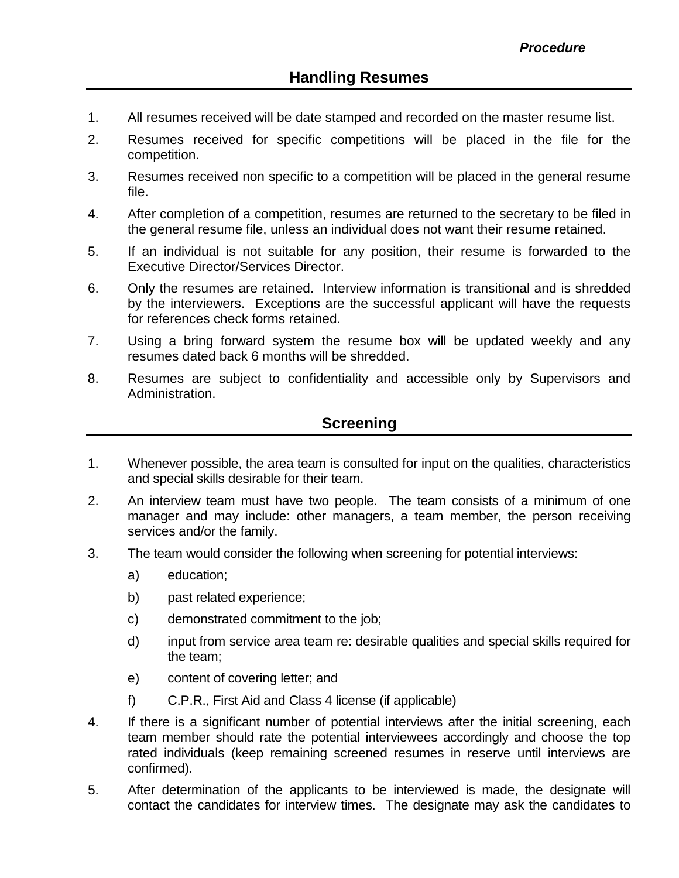- 1. All resumes received will be date stamped and recorded on the master resume list.
- 2. Resumes received for specific competitions will be placed in the file for the competition.
- 3. Resumes received non specific to a competition will be placed in the general resume file.
- 4. After completion of a competition, resumes are returned to the secretary to be filed in the general resume file, unless an individual does not want their resume retained.
- 5. If an individual is not suitable for any position, their resume is forwarded to the Executive Director/Services Director.
- 6. Only the resumes are retained. Interview information is transitional and is shredded by the interviewers. Exceptions are the successful applicant will have the requests for references check forms retained.
- 7. Using a bring forward system the resume box will be updated weekly and any resumes dated back 6 months will be shredded.
- 8. Resumes are subject to confidentiality and accessible only by Supervisors and Administration.

## **Screening**

- 1. Whenever possible, the area team is consulted for input on the qualities, characteristics and special skills desirable for their team.
- 2. An interview team must have two people. The team consists of a minimum of one manager and may include: other managers, a team member, the person receiving services and/or the family.
- 3. The team would consider the following when screening for potential interviews:
	- a) education;
	- b) past related experience;
	- c) demonstrated commitment to the job;
	- d) input from service area team re: desirable qualities and special skills required for the team;
	- e) content of covering letter; and
	- f) C.P.R., First Aid and Class 4 license (if applicable)
- 4. If there is a significant number of potential interviews after the initial screening, each team member should rate the potential interviewees accordingly and choose the top rated individuals (keep remaining screened resumes in reserve until interviews are confirmed).
- 5. After determination of the applicants to be interviewed is made, the designate will contact the candidates for interview times. The designate may ask the candidates to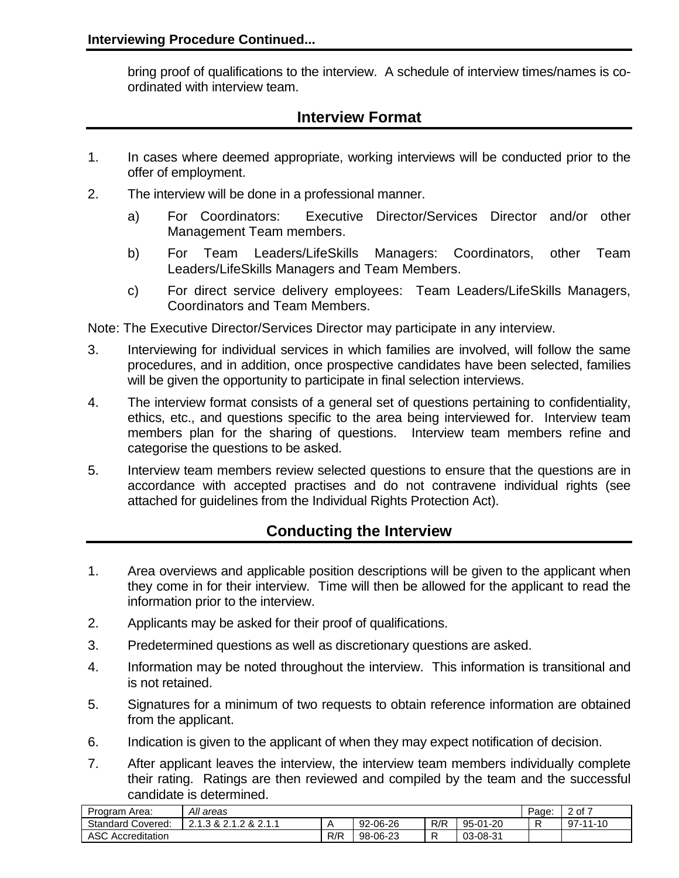bring proof of qualifications to the interview. A schedule of interview times/names is coordinated with interview team.

# **Interview Format**

- 1. In cases where deemed appropriate, working interviews will be conducted prior to the offer of employment.
- 2. The interview will be done in a professional manner.
	- a) For Coordinators: Executive Director/Services Director and/or other Management Team members.
	- b) For Team Leaders/LifeSkills Managers: Coordinators, other Team Leaders/LifeSkills Managers and Team Members.
	- c) For direct service delivery employees: Team Leaders/LifeSkills Managers, Coordinators and Team Members.

Note: The Executive Director/Services Director may participate in any interview.

- 3. Interviewing for individual services in which families are involved, will follow the same procedures, and in addition, once prospective candidates have been selected, families will be given the opportunity to participate in final selection interviews.
- 4. The interview format consists of a general set of questions pertaining to confidentiality, ethics, etc., and questions specific to the area being interviewed for. Interview team members plan for the sharing of questions. Interview team members refine and categorise the questions to be asked.
- 5. Interview team members review selected questions to ensure that the questions are in accordance with accepted practises and do not contravene individual rights (see attached for guidelines from the Individual Rights Protection Act).

# **Conducting the Interview**

- 1. Area overviews and applicable position descriptions will be given to the applicant when they come in for their interview. Time will then be allowed for the applicant to read the information prior to the interview.
- 2. Applicants may be asked for their proof of qualifications.
- 3. Predetermined questions as well as discretionary questions are asked.
- 4. Information may be noted throughout the interview. This information is transitional and is not retained.
- 5. Signatures for a minimum of two requests to obtain reference information are obtained from the applicant.
- 6. Indication is given to the applicant of when they may expect notification of decision.
- 7. After applicant leaves the interview, the interview team members individually complete their rating. Ratings are then reviewed and compiled by the team and the successful candidate is determined.

| Program Area:            | All areas                              | Page: | 2 of 7   |     |          |  |          |
|--------------------------|----------------------------------------|-------|----------|-----|----------|--|----------|
| <b>Standard Covered:</b> | $\Omega$<br>3 & 2.1. <sup>2</sup><br>ጼ |       | 92-06-26 | R/R | 95-01-20 |  | 97-11-10 |
| <b>ASC Accreditation</b> |                                        | R/R   | 98-06-23 | -   | 03-08-31 |  |          |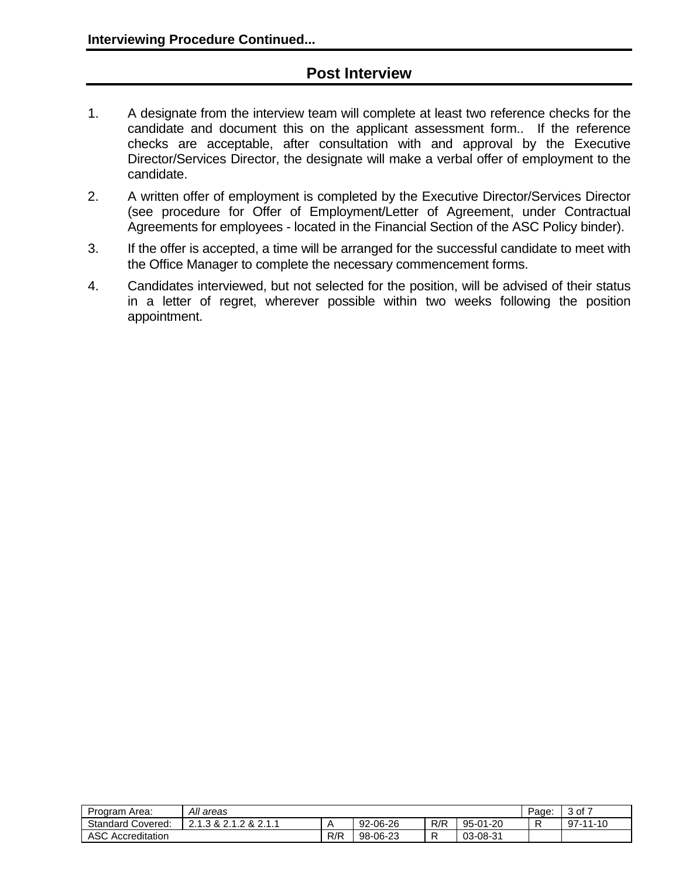## **Post Interview**

- 1. A designate from the interview team will complete at least two reference checks for the candidate and document this on the applicant assessment form.. If the reference checks are acceptable, after consultation with and approval by the Executive Director/Services Director, the designate will make a verbal offer of employment to the candidate.
- 2. A written offer of employment is completed by the Executive Director/Services Director (see procedure for Offer of Employment/Letter of Agreement, under Contractual Agreements for employees - located in the Financial Section of the ASC Policy binder).
- 3. If the offer is accepted, a time will be arranged for the successful candidate to meet with the Office Manager to complete the necessary commencement forms.
- 4. Candidates interviewed, but not selected for the position, will be advised of their status in a letter of regret, wherever possible within two weeks following the position appointment.

| Program Area:            | All areas              | Page: | of 7 ر<br>ັບ |     |          |  |          |
|--------------------------|------------------------|-------|--------------|-----|----------|--|----------|
| <b>Standard Covered:</b> | ົາ 4<br>8.2 د<br>- 22. |       | 92-06-26     | R/R | 95-01-20 |  | 97-11-10 |
| <b>ASC Accreditation</b> |                        | R/R   | 98-06-23     |     | 03-08-31 |  |          |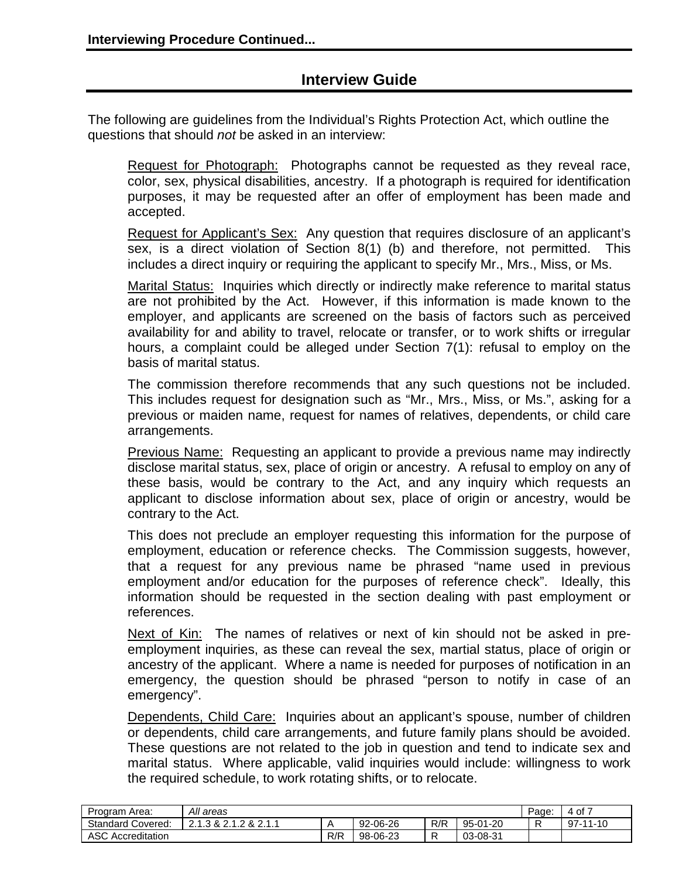## **Interview Guide**

The following are guidelines from the Individual's Rights Protection Act, which outline the questions that should *not* be asked in an interview:

Request for Photograph: Photographs cannot be requested as they reveal race, color, sex, physical disabilities, ancestry. If a photograph is required for identification purposes, it may be requested after an offer of employment has been made and accepted.

Request for Applicant's Sex: Any question that requires disclosure of an applicant's sex, is a direct violation of Section 8(1) (b) and therefore, not permitted. This includes a direct inquiry or requiring the applicant to specify Mr., Mrs., Miss, or Ms.

Marital Status: Inquiries which directly or indirectly make reference to marital status are not prohibited by the Act. However, if this information is made known to the employer, and applicants are screened on the basis of factors such as perceived availability for and ability to travel, relocate or transfer, or to work shifts or irregular hours, a complaint could be alleged under Section 7(1): refusal to employ on the basis of marital status.

The commission therefore recommends that any such questions not be included. This includes request for designation such as "Mr., Mrs., Miss, or Ms.", asking for a previous or maiden name, request for names of relatives, dependents, or child care arrangements.

**Previous Name:** Requesting an applicant to provide a previous name may indirectly disclose marital status, sex, place of origin or ancestry. A refusal to employ on any of these basis, would be contrary to the Act, and any inquiry which requests an applicant to disclose information about sex, place of origin or ancestry, would be contrary to the Act.

This does not preclude an employer requesting this information for the purpose of employment, education or reference checks. The Commission suggests, however, that a request for any previous name be phrased "name used in previous employment and/or education for the purposes of reference check". Ideally, this information should be requested in the section dealing with past employment or references.

Next of Kin: The names of relatives or next of kin should not be asked in preemployment inquiries, as these can reveal the sex, martial status, place of origin or ancestry of the applicant. Where a name is needed for purposes of notification in an emergency, the question should be phrased "person to notify in case of an emergency".

Dependents, Child Care: Inquiries about an applicant's spouse, number of children or dependents, child care arrangements, and future family plans should be avoided. These questions are not related to the job in question and tend to indicate sex and marital status. Where applicable, valid inquiries would include: willingness to work the required schedule, to work rotating shifts, or to relocate.

| Program Area:            | All areas                       | Page. | 4 of 7   |     |          |  |                |
|--------------------------|---------------------------------|-------|----------|-----|----------|--|----------------|
| <b>Standard Covered:</b> | 0.21<br>&<br>⌒ ィ<br><u>. . </u> |       | 92-06-26 | R/R | 95-01-20 |  | $97 - 11 - 10$ |
| <b>ASC Accreditation</b> |                                 | R/R   | 98-06-23 |     | 03-08-31 |  |                |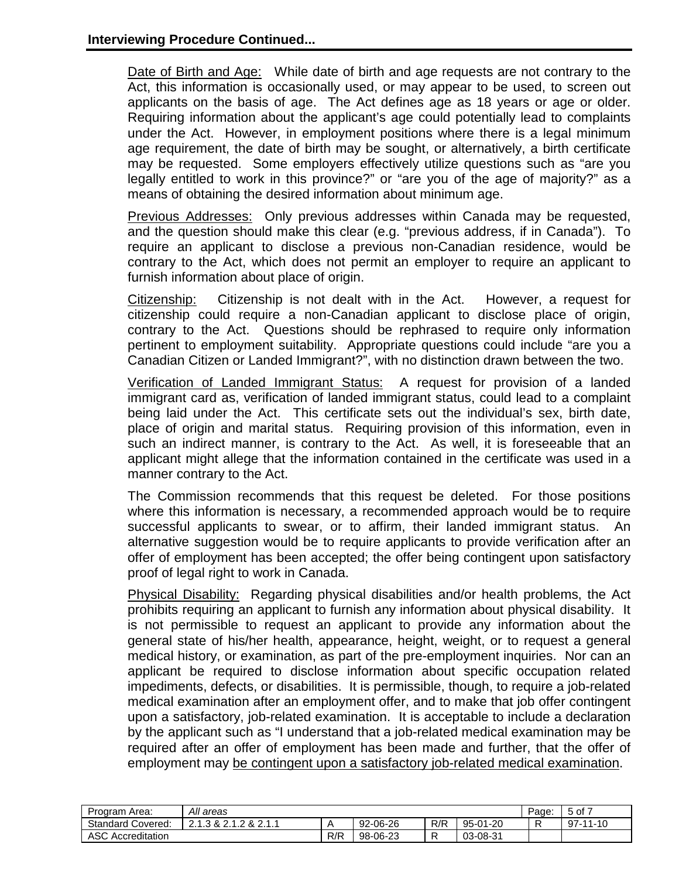Date of Birth and Age: While date of birth and age requests are not contrary to the Act, this information is occasionally used, or may appear to be used, to screen out applicants on the basis of age. The Act defines age as 18 years or age or older. Requiring information about the applicant's age could potentially lead to complaints under the Act. However, in employment positions where there is a legal minimum age requirement, the date of birth may be sought, or alternatively, a birth certificate may be requested. Some employers effectively utilize questions such as "are you legally entitled to work in this province?" or "are you of the age of majority?" as a means of obtaining the desired information about minimum age.

Previous Addresses: Only previous addresses within Canada may be requested, and the question should make this clear (e.g. "previous address, if in Canada"). To require an applicant to disclose a previous non-Canadian residence, would be contrary to the Act, which does not permit an employer to require an applicant to furnish information about place of origin.

Citizenship: Citizenship is not dealt with in the Act. However, a request for citizenship could require a non-Canadian applicant to disclose place of origin, contrary to the Act. Questions should be rephrased to require only information pertinent to employment suitability. Appropriate questions could include "are you a Canadian Citizen or Landed Immigrant?", with no distinction drawn between the two.

Verification of Landed Immigrant Status: A request for provision of a landed immigrant card as, verification of landed immigrant status, could lead to a complaint being laid under the Act. This certificate sets out the individual's sex, birth date, place of origin and marital status. Requiring provision of this information, even in such an indirect manner, is contrary to the Act. As well, it is foreseeable that an applicant might allege that the information contained in the certificate was used in a manner contrary to the Act.

The Commission recommends that this request be deleted. For those positions where this information is necessary, a recommended approach would be to require successful applicants to swear, or to affirm, their landed immigrant status. An alternative suggestion would be to require applicants to provide verification after an offer of employment has been accepted; the offer being contingent upon satisfactory proof of legal right to work in Canada.

Physical Disability: Regarding physical disabilities and/or health problems, the Act prohibits requiring an applicant to furnish any information about physical disability. It is not permissible to request an applicant to provide any information about the general state of his/her health, appearance, height, weight, or to request a general medical history, or examination, as part of the pre-employment inquiries. Nor can an applicant be required to disclose information about specific occupation related impediments, defects, or disabilities. It is permissible, though, to require a job-related medical examination after an employment offer, and to make that job offer contingent upon a satisfactory, job-related examination. It is acceptable to include a declaration by the applicant such as "I understand that a job-related medical examination may be required after an offer of employment has been made and further, that the offer of employment may be contingent upon a satisfactory job-related medical examination.

| Program Area:            | All areas                                     | Page: | $5$ of $7$ |     |                   |  |               |
|--------------------------|-----------------------------------------------|-------|------------|-----|-------------------|--|---------------|
| <b>Standard Covered:</b> | ົາ 4<br>$\sim$<br>$\circ$<br>.3 &<br>$\alpha$ |       | 92-06-26   | R/R | $95 - 0$<br>01-20 |  | 97-<br>-11-10 |
| <b>ASC Accreditation</b> |                                               | R/R   | 98-06-23   |     | 03-08-31          |  |               |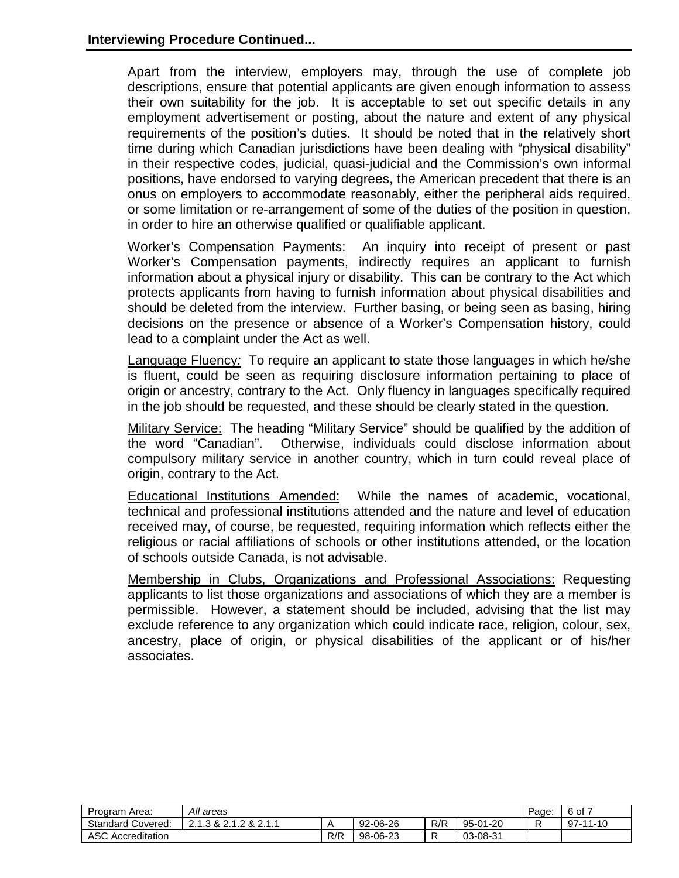Apart from the interview, employers may, through the use of complete job descriptions, ensure that potential applicants are given enough information to assess their own suitability for the job. It is acceptable to set out specific details in any employment advertisement or posting, about the nature and extent of any physical requirements of the position's duties. It should be noted that in the relatively short time during which Canadian jurisdictions have been dealing with "physical disability" in their respective codes, judicial, quasi-judicial and the Commission's own informal positions, have endorsed to varying degrees, the American precedent that there is an onus on employers to accommodate reasonably, either the peripheral aids required, or some limitation or re-arrangement of some of the duties of the position in question, in order to hire an otherwise qualified or qualifiable applicant.

Worker's Compensation Payments: An inquiry into receipt of present or past Worker's Compensation payments, indirectly requires an applicant to furnish information about a physical injury or disability. This can be contrary to the Act which protects applicants from having to furnish information about physical disabilities and should be deleted from the interview. Further basing, or being seen as basing, hiring decisions on the presence or absence of a Worker's Compensation history, could lead to a complaint under the Act as well.

Language Fluency*:* To require an applicant to state those languages in which he/she is fluent, could be seen as requiring disclosure information pertaining to place of origin or ancestry, contrary to the Act. Only fluency in languages specifically required in the job should be requested, and these should be clearly stated in the question.

Military Service: The heading "Military Service" should be qualified by the addition of the word "Canadian". Otherwise, individuals could disclose information about compulsory military service in another country, which in turn could reveal place of origin, contrary to the Act.

Educational Institutions Amended: While the names of academic, vocational, technical and professional institutions attended and the nature and level of education received may, of course, be requested, requiring information which reflects either the religious or racial affiliations of schools or other institutions attended, or the location of schools outside Canada, is not advisable.

Membership in Clubs, Organizations and Professional Associations: Requesting applicants to list those organizations and associations of which they are a member is permissible. However, a statement should be included, advising that the list may exclude reference to any organization which could indicate race, religion, colour, sex, ancestry, place of origin, or physical disabilities of the applicant or of his/her associates.

| Program Area:            | All areas                                                                                     | Page. | 6 of 7   |     |          |  |                |
|--------------------------|-----------------------------------------------------------------------------------------------|-------|----------|-----|----------|--|----------------|
| <b>Standard Covered:</b> | <b>pop</b> 1<br>3 & 2<br>$\overline{\mathbf{A}}$<br>$\alpha$<br>.<br>$\overline{\phantom{a}}$ |       | 92-06-26 | R/R | 95-01-20 |  | $97 - 11 - 10$ |
| <b>ASC Accreditation</b> |                                                                                               | R/R   | 98-06-23 |     | 03-08-31 |  |                |